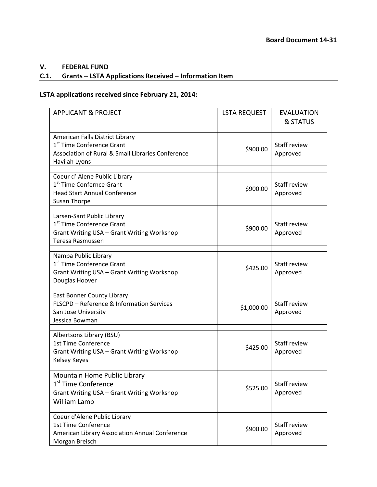## **V. FEDERAL FUND**

## **C.1. Grants – LSTA Applications Received – Information Item**

## **LSTA applications received since February 21, 2014:**

| <b>APPLICANT &amp; PROJECT</b>                                                                                                                 | <b>LSTA REQUEST</b> | <b>EVALUATION</b><br>& STATUS |
|------------------------------------------------------------------------------------------------------------------------------------------------|---------------------|-------------------------------|
| American Falls District Library<br>1 <sup>st</sup> Time Conference Grant<br>Association of Rural & Small Libraries Conference<br>Havilah Lyons | \$900.00            | Staff review<br>Approved      |
| Coeur d' Alene Public Library<br>1 <sup>st</sup> Time Confernce Grant<br><b>Head Start Annual Conference</b><br><b>Susan Thorpe</b>            | \$900.00            | Staff review<br>Approved      |
| Larsen-Sant Public Library<br>1 <sup>st</sup> Time Conference Grant<br>Grant Writing USA - Grant Writing Workshop<br>Teresa Rasmussen          | \$900.00            | Staff review<br>Approved      |
| Nampa Public Library<br>1 <sup>st</sup> Time Conference Grant<br>Grant Writing USA - Grant Writing Workshop<br>Douglas Hoover                  | \$425.00            | Staff review<br>Approved      |
| East Bonner County Library<br>FLSCPD - Reference & Information Services<br>San Jose University<br>Jessica Bowman                               | \$1,000.00          | Staff review<br>Approved      |
| Albertsons Library (BSU)<br>1st Time Conference<br>Grant Writing USA - Grant Writing Workshop<br>Kelsey Keyes                                  | \$425.00            | Staff review<br>Approved      |
| Mountain Home Public Library<br>1 <sup>st</sup> Time Conference<br>Grant Writing USA - Grant Writing Workshop<br>William Lamb                  | \$525.00            | Staff review<br>Approved      |
| Coeur d'Alene Public Library<br>1st Time Conference<br>American Library Association Annual Conference<br>Morgan Breisch                        | \$900.00            | Staff review<br>Approved      |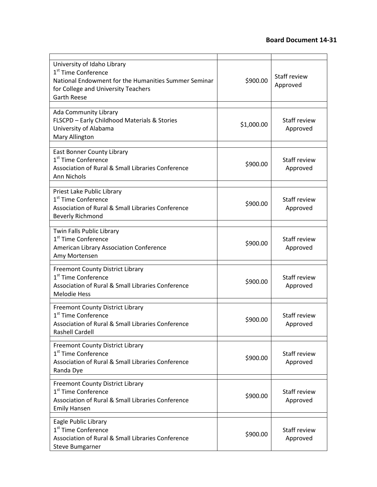| University of Idaho Library<br>1 <sup>st</sup> Time Conference<br>National Endowment for the Humanities Summer Seminar<br>for College and University Teachers<br><b>Garth Reese</b> | \$900.00   | Staff review<br>Approved        |
|-------------------------------------------------------------------------------------------------------------------------------------------------------------------------------------|------------|---------------------------------|
| Ada Community Library<br>FLSCPD - Early Childhood Materials & Stories<br>University of Alabama<br>Mary Allington                                                                    | \$1,000.00 | Staff review<br>Approved        |
| <b>East Bonner County Library</b><br>1 <sup>st</sup> Time Conference<br><b>Association of Rural &amp; Small Libraries Conference</b><br>Ann Nichols                                 | \$900.00   | Staff review<br>Approved        |
| Priest Lake Public Library<br>1 <sup>st</sup> Time Conference<br>Association of Rural & Small Libraries Conference<br><b>Beverly Richmond</b>                                       | \$900.00   | <b>Staff review</b><br>Approved |
| Twin Falls Public Library<br>1 <sup>st</sup> Time Conference<br>American Library Association Conference<br>Amy Mortensen                                                            | \$900.00   | Staff review<br>Approved        |
| <b>Freemont County District Library</b><br>1 <sup>st</sup> Time Conference<br>Association of Rural & Small Libraries Conference<br><b>Melodie Hess</b>                              | \$900.00   | Staff review<br>Approved        |
| <b>Freemont County District Library</b><br>1 <sup>st</sup> Time Conference<br>Association of Rural & Small Libraries Conference<br><b>Rashell Cardell</b>                           | \$900.00   | Staff review<br>Approved        |
| Freemont County District Library<br>1 <sup>st</sup> Time Conference<br>Association of Rural & Small Libraries Conference<br>Randa Dye                                               | \$900.00   | Staff review<br>Approved        |
| <b>Freemont County District Library</b><br>1 <sup>st</sup> Time Conference<br>Association of Rural & Small Libraries Conference<br><b>Emily Hansen</b>                              | \$900.00   | Staff review<br>Approved        |
| Eagle Public Library<br>1 <sup>st</sup> Time Conference<br>Association of Rural & Small Libraries Conference<br><b>Steve Bumgarner</b>                                              | \$900.00   | <b>Staff review</b><br>Approved |